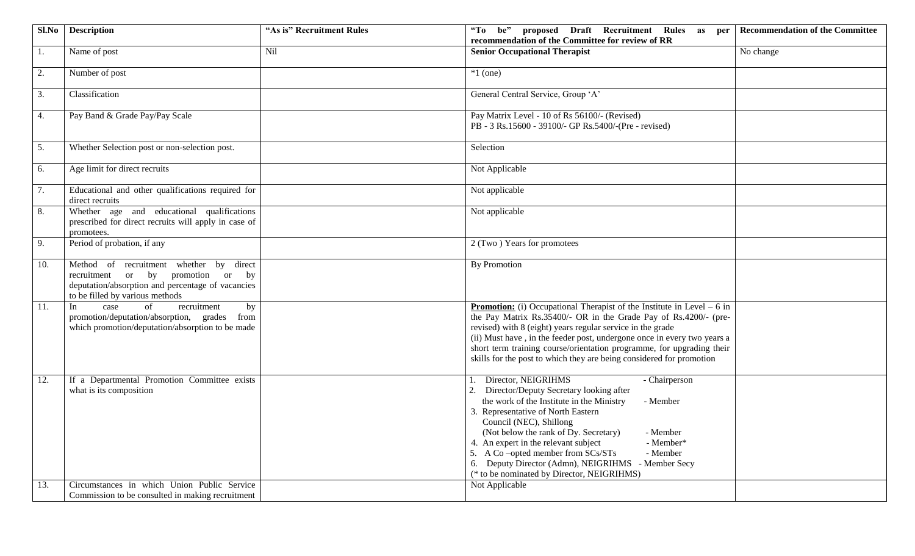|     | Sl.No   Description                                                                                                                                                  | "As is" Recruitment Rules | "To be" proposed Draft Recruitment Rules as per Recommendation of the Committee<br>recommendation of the Committee for review of RR                                                                                                                                                                                                                                                                                                                                            |           |
|-----|----------------------------------------------------------------------------------------------------------------------------------------------------------------------|---------------------------|--------------------------------------------------------------------------------------------------------------------------------------------------------------------------------------------------------------------------------------------------------------------------------------------------------------------------------------------------------------------------------------------------------------------------------------------------------------------------------|-----------|
| 1.  | Name of post                                                                                                                                                         | Nil                       | <b>Senior Occupational Therapist</b>                                                                                                                                                                                                                                                                                                                                                                                                                                           | No change |
| 2.  | Number of post                                                                                                                                                       |                           | $*1$ (one)                                                                                                                                                                                                                                                                                                                                                                                                                                                                     |           |
| 3.  | Classification                                                                                                                                                       |                           | General Central Service, Group 'A'                                                                                                                                                                                                                                                                                                                                                                                                                                             |           |
| 4.  | Pay Band & Grade Pay/Pay Scale                                                                                                                                       |                           | Pay Matrix Level - 10 of Rs 56100/- (Revised)<br>PB - 3 Rs.15600 - 39100/- GP Rs.5400/-(Pre - revised)                                                                                                                                                                                                                                                                                                                                                                         |           |
| 5.  | Whether Selection post or non-selection post.                                                                                                                        |                           | Selection                                                                                                                                                                                                                                                                                                                                                                                                                                                                      |           |
| 6.  | Age limit for direct recruits                                                                                                                                        |                           | Not Applicable                                                                                                                                                                                                                                                                                                                                                                                                                                                                 |           |
| 7.  | Educational and other qualifications required for<br>direct recruits                                                                                                 |                           | Not applicable                                                                                                                                                                                                                                                                                                                                                                                                                                                                 |           |
| 8.  | Whether age and educational qualifications<br>prescribed for direct recruits will apply in case of<br>promotees.                                                     |                           | Not applicable                                                                                                                                                                                                                                                                                                                                                                                                                                                                 |           |
| 9.  | Period of probation, if any                                                                                                                                          |                           | 2 (Two) Years for promotees                                                                                                                                                                                                                                                                                                                                                                                                                                                    |           |
| 10. | Method of recruitment whether by direct<br>recruitment or by promotion or by<br>deputation/absorption and percentage of vacancies<br>to be filled by various methods |                           | <b>By Promotion</b>                                                                                                                                                                                                                                                                                                                                                                                                                                                            |           |
| 11. | of<br>In<br>recruitment<br>by<br>case<br>promotion/deputation/absorption, grades<br>from<br>which promotion/deputation/absorption to be made                         |                           | <b>Promotion:</b> (i) Occupational Therapist of the Institute in Level $-6$ in<br>the Pay Matrix Rs.35400/- OR in the Grade Pay of Rs.4200/- (pre-<br>revised) with 8 (eight) years regular service in the grade<br>(ii) Must have, in the feeder post, undergone once in every two years a<br>short term training course/orientation programme, for upgrading their<br>skills for the post to which they are being considered for promotion                                   |           |
| 12. | If a Departmental Promotion Committee exists<br>what is its composition                                                                                              |                           | Director, NEIGRIHMS<br>- Chairperson<br>Director/Deputy Secretary looking after<br>2.<br>the work of the Institute in the Ministry<br>- Member<br>3. Representative of North Eastern<br>Council (NEC), Shillong<br>(Not below the rank of Dy. Secretary)<br>- Member<br>4. An expert in the relevant subject<br>- Member*<br>5. A Co-opted member from SCs/STs<br>- Member<br>6. Deputy Director (Admn), NEIGRIHMS - Member Secy<br>(* to be nominated by Director, NEIGRIHMS) |           |
| 13. | Circumstances in which Union Public Service<br>Commission to be consulted in making recruitment                                                                      |                           | Not Applicable                                                                                                                                                                                                                                                                                                                                                                                                                                                                 |           |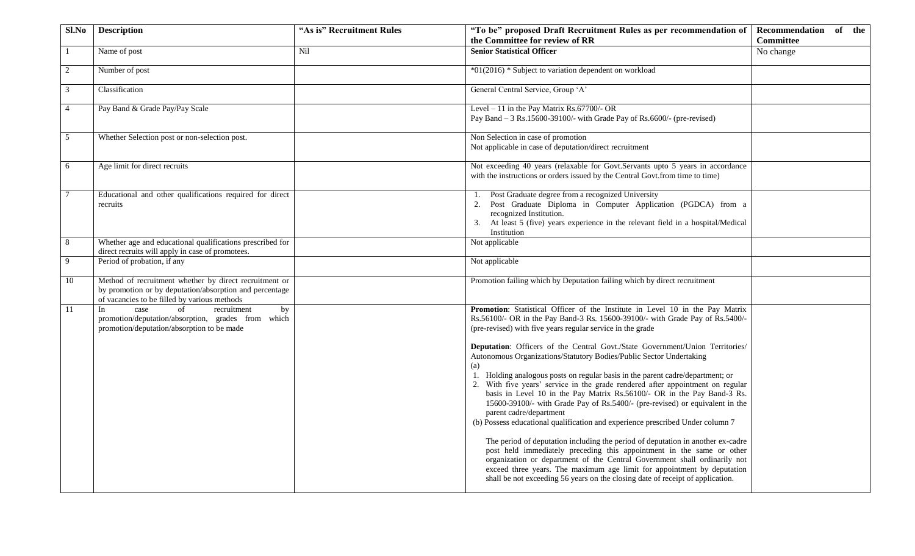| Sl.No          | <b>Description</b>                                                                                                                                                | "As is" Recruitment Rules | "To be" proposed Draft Recruitment Rules as per recommendation of Recommendation of the                                                                                                                                                                                                                                                                                                                                                                                                                                                                                                                 |                  |
|----------------|-------------------------------------------------------------------------------------------------------------------------------------------------------------------|---------------------------|---------------------------------------------------------------------------------------------------------------------------------------------------------------------------------------------------------------------------------------------------------------------------------------------------------------------------------------------------------------------------------------------------------------------------------------------------------------------------------------------------------------------------------------------------------------------------------------------------------|------------------|
|                |                                                                                                                                                                   |                           | the Committee for review of RR                                                                                                                                                                                                                                                                                                                                                                                                                                                                                                                                                                          | <b>Committee</b> |
|                | Name of post                                                                                                                                                      | Nil                       | <b>Senior Statistical Officer</b>                                                                                                                                                                                                                                                                                                                                                                                                                                                                                                                                                                       | No change        |
| 2              | Number of post                                                                                                                                                    |                           | *01(2016) * Subject to variation dependent on workload                                                                                                                                                                                                                                                                                                                                                                                                                                                                                                                                                  |                  |
| 3              | Classification                                                                                                                                                    |                           | General Central Service, Group 'A'                                                                                                                                                                                                                                                                                                                                                                                                                                                                                                                                                                      |                  |
| $\overline{4}$ | Pay Band & Grade Pay/Pay Scale                                                                                                                                    |                           | Level $-11$ in the Pay Matrix Rs.67700/- OR<br>Pay Band $-3$ Rs.15600-39100/- with Grade Pay of Rs.6600/- (pre-revised)                                                                                                                                                                                                                                                                                                                                                                                                                                                                                 |                  |
| 5              | Whether Selection post or non-selection post.                                                                                                                     |                           | Non Selection in case of promotion<br>Not applicable in case of deputation/direct recruitment                                                                                                                                                                                                                                                                                                                                                                                                                                                                                                           |                  |
| 6              | Age limit for direct recruits                                                                                                                                     |                           | Not exceeding 40 years (relaxable for Govt.Servants upto 5 years in accordance<br>with the instructions or orders issued by the Central Govt.from time to time)                                                                                                                                                                                                                                                                                                                                                                                                                                         |                  |
|                | Educational and other qualifications required for direct<br>recruits                                                                                              |                           | Post Graduate degree from a recognized University<br>1.<br>Post Graduate Diploma in Computer Application (PGDCA) from a<br>recognized Institution.<br>At least 5 (five) years experience in the relevant field in a hospital/Medical<br>Institution                                                                                                                                                                                                                                                                                                                                                     |                  |
| 8              | Whether age and educational qualifications prescribed for<br>direct recruits will apply in case of promotees.                                                     |                           | Not applicable                                                                                                                                                                                                                                                                                                                                                                                                                                                                                                                                                                                          |                  |
| 9              | Period of probation, if any                                                                                                                                       |                           | Not applicable                                                                                                                                                                                                                                                                                                                                                                                                                                                                                                                                                                                          |                  |
| 10             | Method of recruitment whether by direct recruitment or<br>by promotion or by deputation/absorption and percentage<br>of vacancies to be filled by various methods |                           | Promotion failing which by Deputation failing which by direct recruitment                                                                                                                                                                                                                                                                                                                                                                                                                                                                                                                               |                  |
| 11             | of<br>In<br>case<br>recruitment<br>by<br>promotion/deputation/absorption, grades from which<br>promotion/deputation/absorption to be made                         |                           | Promotion: Statistical Officer of the Institute in Level 10 in the Pay Matrix<br>Rs.56100/- OR in the Pay Band-3 Rs. 15600-39100/- with Grade Pay of Rs.5400/-<br>(pre-revised) with five years regular service in the grade                                                                                                                                                                                                                                                                                                                                                                            |                  |
|                |                                                                                                                                                                   |                           | Deputation: Officers of the Central Govt./State Government/Union Territories/<br>Autonomous Organizations/Statutory Bodies/Public Sector Undertaking<br>(a)<br>1. Holding analogous posts on regular basis in the parent cadre/department; or<br>2. With five years' service in the grade rendered after appointment on regular<br>basis in Level 10 in the Pay Matrix Rs.56100/- OR in the Pay Band-3 Rs.<br>15600-39100/- with Grade Pay of Rs.5400/- (pre-revised) or equivalent in the<br>parent cadre/department<br>(b) Possess educational qualification and experience prescribed Under column 7 |                  |
|                |                                                                                                                                                                   |                           | The period of deputation including the period of deputation in another ex-cadre<br>post held immediately preceding this appointment in the same or other<br>organization or department of the Central Government shall ordinarily not<br>exceed three years. The maximum age limit for appointment by deputation<br>shall be not exceeding 56 years on the closing date of receipt of application.                                                                                                                                                                                                      |                  |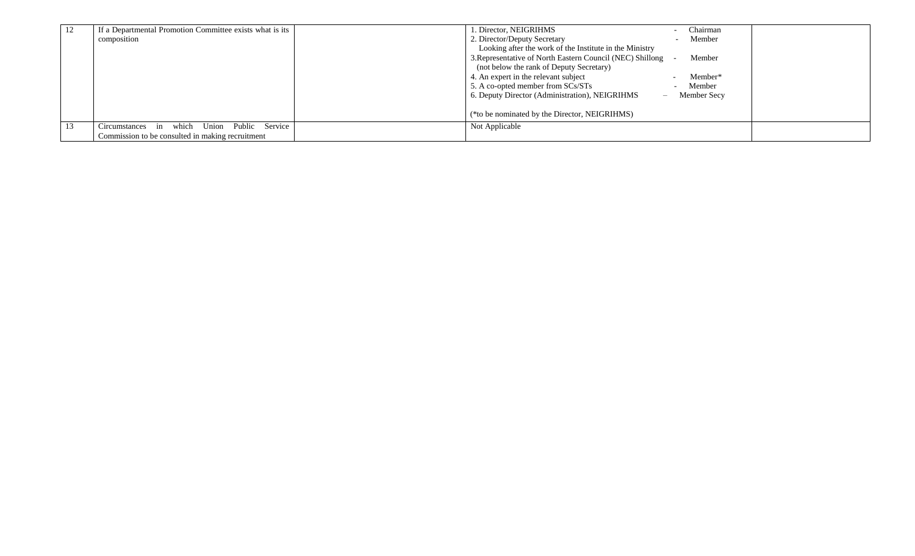| 12 | If a Departmental Promotion Committee exists what is its | . Director, NEIGRIHMS<br>Chairman                                   |
|----|----------------------------------------------------------|---------------------------------------------------------------------|
|    | composition                                              | 2. Director/Deputy Secretary<br>Member                              |
|    |                                                          | Looking after the work of the Institute in the Ministry             |
|    |                                                          | 3. Representative of North Eastern Council (NEC) Shillong<br>Member |
|    |                                                          | (not below the rank of Deputy Secretary)                            |
|    |                                                          | 4. An expert in the relevant subject<br>Member*                     |
|    |                                                          | 5. A co-opted member from SCs/STs<br>Member                         |
|    |                                                          | 6. Deputy Director (Administration), NEIGRIHMS<br>Member Secy       |
|    |                                                          |                                                                     |
|    |                                                          | (*to be nominated by the Director, NEIGRIHMS)                       |
|    | which Union Public Service<br>Circumstances in           | Not Applicable                                                      |
|    | Commission to be consulted in making recruitment         |                                                                     |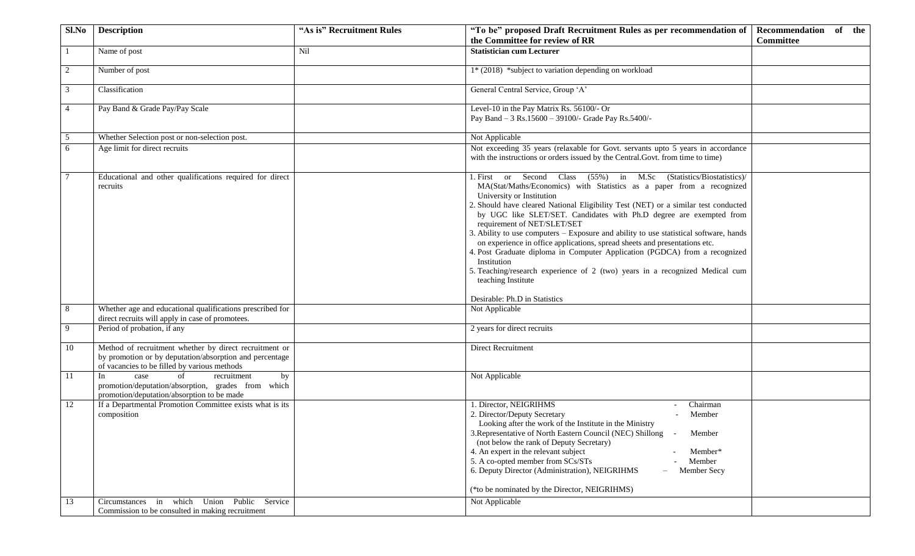| Sl.No          | <b>Description</b>                                                                                                                                                | "As is" Recruitment Rules | "To be" proposed Draft Recruitment Rules as per recommendation of                                                                                                                                                                                                                                                                                                                                                                                                                                                                                                                                                                                                                                                                              | Recommendation of the |
|----------------|-------------------------------------------------------------------------------------------------------------------------------------------------------------------|---------------------------|------------------------------------------------------------------------------------------------------------------------------------------------------------------------------------------------------------------------------------------------------------------------------------------------------------------------------------------------------------------------------------------------------------------------------------------------------------------------------------------------------------------------------------------------------------------------------------------------------------------------------------------------------------------------------------------------------------------------------------------------|-----------------------|
|                |                                                                                                                                                                   |                           | the Committee for review of RR                                                                                                                                                                                                                                                                                                                                                                                                                                                                                                                                                                                                                                                                                                                 | <b>Committee</b>      |
|                | Name of post                                                                                                                                                      | Nil                       | <b>Statistician cum Lecturer</b>                                                                                                                                                                                                                                                                                                                                                                                                                                                                                                                                                                                                                                                                                                               |                       |
| $\overline{2}$ | Number of post                                                                                                                                                    |                           | 1* (2018) *subject to variation depending on workload                                                                                                                                                                                                                                                                                                                                                                                                                                                                                                                                                                                                                                                                                          |                       |
| 3              | Classification                                                                                                                                                    |                           | General Central Service, Group 'A'                                                                                                                                                                                                                                                                                                                                                                                                                                                                                                                                                                                                                                                                                                             |                       |
| $\overline{4}$ | Pay Band & Grade Pay/Pay Scale                                                                                                                                    |                           | Level-10 in the Pay Matrix Rs. 56100/- Or<br>Pay Band - 3 Rs.15600 - 39100/- Grade Pay Rs.5400/-                                                                                                                                                                                                                                                                                                                                                                                                                                                                                                                                                                                                                                               |                       |
| 5              | Whether Selection post or non-selection post.                                                                                                                     |                           | Not Applicable                                                                                                                                                                                                                                                                                                                                                                                                                                                                                                                                                                                                                                                                                                                                 |                       |
| 6              | Age limit for direct recruits                                                                                                                                     |                           | Not exceeding 35 years (relaxable for Govt. servants upto 5 years in accordance<br>with the instructions or orders issued by the Central.Govt. from time to time)                                                                                                                                                                                                                                                                                                                                                                                                                                                                                                                                                                              |                       |
|                | Educational and other qualifications required for direct<br>recruits                                                                                              |                           | 1. First or Second Class (55%) in M.Sc (Statistics/Biostatistics)/<br>MA(Stat/Maths/Economics) with Statistics as a paper from a recognized<br>University or Institution<br>2. Should have cleared National Eligibility Test (NET) or a similar test conducted<br>by UGC like SLET/SET. Candidates with Ph.D degree are exempted from<br>requirement of NET/SLET/SET<br>3. Ability to use computers - Exposure and ability to use statistical software, hands<br>on experience in office applications, spread sheets and presentations etc.<br>4. Post Graduate diploma in Computer Application (PGDCA) from a recognized<br>Institution<br>5. Teaching/research experience of 2 (two) years in a recognized Medical cum<br>teaching Institute |                       |
| 8              | Whether age and educational qualifications prescribed for                                                                                                         |                           | Desirable: Ph.D in Statistics<br>Not Applicable                                                                                                                                                                                                                                                                                                                                                                                                                                                                                                                                                                                                                                                                                                |                       |
|                | direct recruits will apply in case of promotees.                                                                                                                  |                           |                                                                                                                                                                                                                                                                                                                                                                                                                                                                                                                                                                                                                                                                                                                                                |                       |
| 9              | Period of probation, if any                                                                                                                                       |                           | 2 years for direct recruits                                                                                                                                                                                                                                                                                                                                                                                                                                                                                                                                                                                                                                                                                                                    |                       |
| 10             | Method of recruitment whether by direct recruitment or<br>by promotion or by deputation/absorption and percentage<br>of vacancies to be filled by various methods |                           | Direct Recruitment                                                                                                                                                                                                                                                                                                                                                                                                                                                                                                                                                                                                                                                                                                                             |                       |
| 11             | In<br>of<br>by<br>recruitment<br>case<br>promotion/deputation/absorption, grades from which<br>promotion/deputation/absorption to be made                         |                           | Not Applicable                                                                                                                                                                                                                                                                                                                                                                                                                                                                                                                                                                                                                                                                                                                                 |                       |
| 12             | If a Departmental Promotion Committee exists what is its<br>composition<br>which Union Public<br>in<br>Service                                                    |                           | 1. Director, NEIGRIHMS<br>Chairman<br>2. Director/Deputy Secretary<br>- Member<br>Looking after the work of the Institute in the Ministry<br>3. Representative of North Eastern Council (NEC) Shillong -<br>Member<br>(not below the rank of Deputy Secretary)<br>4. An expert in the relevant subject<br>Member*<br>5. A co-opted member from SCs/STs<br>Member<br>6. Deputy Director (Administration), NEIGRIHMS<br>Member Secy<br>(*to be nominated by the Director, NEIGRIHMS)                                                                                                                                                                                                                                                             |                       |
| 13             | Circumstances<br>Commission to be consulted in making recruitment                                                                                                 |                           | Not Applicable                                                                                                                                                                                                                                                                                                                                                                                                                                                                                                                                                                                                                                                                                                                                 |                       |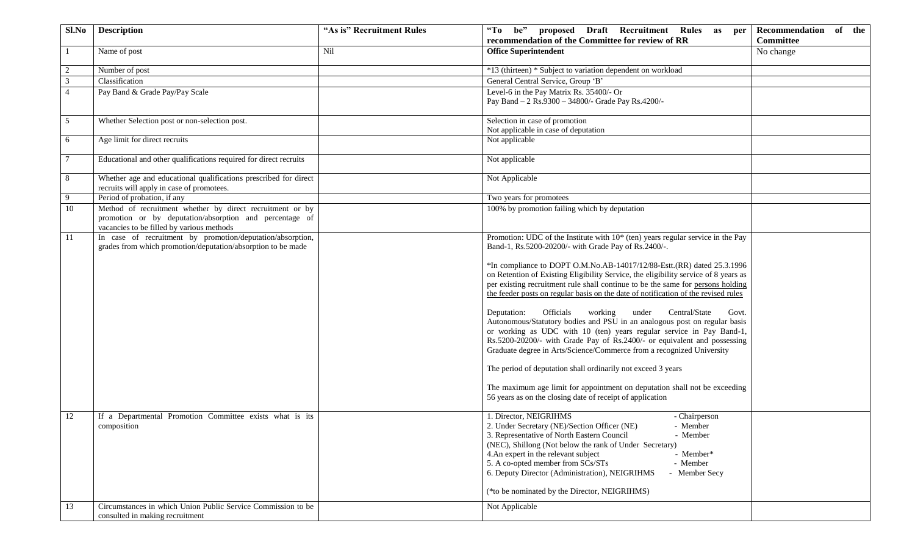| Sl.No          | <b>Description</b>                                                                                                                                                | "As is" Recruitment Rules | "To be"<br>proposed Draft Recruitment Rules<br>as per                                                                                                                                                                                                                                                                                                                                                                                                                                                                                                                                                                                                                                                                                                                                                                                                                                                                                 | Recommendation of the |
|----------------|-------------------------------------------------------------------------------------------------------------------------------------------------------------------|---------------------------|---------------------------------------------------------------------------------------------------------------------------------------------------------------------------------------------------------------------------------------------------------------------------------------------------------------------------------------------------------------------------------------------------------------------------------------------------------------------------------------------------------------------------------------------------------------------------------------------------------------------------------------------------------------------------------------------------------------------------------------------------------------------------------------------------------------------------------------------------------------------------------------------------------------------------------------|-----------------------|
|                |                                                                                                                                                                   |                           | recommendation of the Committee for review of RR                                                                                                                                                                                                                                                                                                                                                                                                                                                                                                                                                                                                                                                                                                                                                                                                                                                                                      | <b>Committee</b>      |
|                | Name of post                                                                                                                                                      | Nil                       | <b>Office Superintendent</b><br>No change                                                                                                                                                                                                                                                                                                                                                                                                                                                                                                                                                                                                                                                                                                                                                                                                                                                                                             |                       |
| 2              | Number of post                                                                                                                                                    |                           | *13 (thirteen) * Subject to variation dependent on workload                                                                                                                                                                                                                                                                                                                                                                                                                                                                                                                                                                                                                                                                                                                                                                                                                                                                           |                       |
| $\overline{3}$ | Classification                                                                                                                                                    |                           | General Central Service, Group 'B'                                                                                                                                                                                                                                                                                                                                                                                                                                                                                                                                                                                                                                                                                                                                                                                                                                                                                                    |                       |
| $\overline{4}$ | Pay Band & Grade Pay/Pay Scale                                                                                                                                    |                           | Level-6 in the Pay Matrix Rs. 35400/- Or<br>Pay Band - 2 Rs.9300 - 34800/- Grade Pay Rs.4200/-                                                                                                                                                                                                                                                                                                                                                                                                                                                                                                                                                                                                                                                                                                                                                                                                                                        |                       |
| 5              | Whether Selection post or non-selection post.                                                                                                                     |                           | Selection in case of promotion<br>Not applicable in case of deputation                                                                                                                                                                                                                                                                                                                                                                                                                                                                                                                                                                                                                                                                                                                                                                                                                                                                |                       |
| 6              | Age limit for direct recruits                                                                                                                                     |                           | Not applicable                                                                                                                                                                                                                                                                                                                                                                                                                                                                                                                                                                                                                                                                                                                                                                                                                                                                                                                        |                       |
| $\tau$         | Educational and other qualifications required for direct recruits                                                                                                 |                           | Not applicable                                                                                                                                                                                                                                                                                                                                                                                                                                                                                                                                                                                                                                                                                                                                                                                                                                                                                                                        |                       |
| 8              | Whether age and educational qualifications prescribed for direct<br>recruits will apply in case of promotees.                                                     |                           | Not Applicable                                                                                                                                                                                                                                                                                                                                                                                                                                                                                                                                                                                                                                                                                                                                                                                                                                                                                                                        |                       |
| 9              | Period of probation, if any                                                                                                                                       |                           | Two years for promotees                                                                                                                                                                                                                                                                                                                                                                                                                                                                                                                                                                                                                                                                                                                                                                                                                                                                                                               |                       |
| 10             | Method of recruitment whether by direct recruitment or by<br>promotion or by deputation/absorption and percentage of<br>vacancies to be filled by various methods |                           | 100% by promotion failing which by deputation                                                                                                                                                                                                                                                                                                                                                                                                                                                                                                                                                                                                                                                                                                                                                                                                                                                                                         |                       |
| 11             | In case of recruitment by promotion/deputation/absorption,<br>grades from which promotion/deputation/absorption to be made                                        |                           | Promotion: UDC of the Institute with $10*$ (ten) years regular service in the Pay<br>Band-1, Rs.5200-20200/- with Grade Pay of Rs.2400/-.                                                                                                                                                                                                                                                                                                                                                                                                                                                                                                                                                                                                                                                                                                                                                                                             |                       |
|                |                                                                                                                                                                   |                           | *In compliance to DOPT O.M.No.AB-14017/12/88-Estt.(RR) dated 25.3.1996<br>on Retention of Existing Eligibility Service, the eligibility service of 8 years as<br>per existing recruitment rule shall continue to be the same for persons holding<br>the feeder posts on regular basis on the date of notification of the revised rules<br>Central/State<br>Officials<br>working<br>under<br>Deputation:<br>Govt.<br>Autonomous/Statutory bodies and PSU in an analogous post on regular basis<br>or working as UDC with 10 (ten) years regular service in Pay Band-1,<br>Rs.5200-20200/- with Grade Pay of Rs.2400/- or equivalent and possessing<br>Graduate degree in Arts/Science/Commerce from a recognized University<br>The period of deputation shall ordinarily not exceed 3 years<br>The maximum age limit for appointment on deputation shall not be exceeding<br>56 years as on the closing date of receipt of application |                       |
| 12             | If a Departmental Promotion Committee exists what is its<br>composition                                                                                           |                           | 1. Director, NEIGRIHMS<br>- Chairperson<br>2. Under Secretary (NE)/Section Officer (NE)<br>- Member<br>3. Representative of North Eastern Council<br>- Member<br>(NEC), Shillong (Not below the rank of Under Secretary)<br>4. An expert in the relevant subject<br>- Member*<br>5. A co-opted member from SCs/STs<br>- Member<br>6. Deputy Director (Administration), NEIGRIHMS<br>- Member Secy<br>(*to be nominated by the Director, NEIGRIHMS)                                                                                                                                                                                                                                                                                                                                                                                                                                                                                    |                       |
| 13             | Circumstances in which Union Public Service Commission to be<br>consulted in making recruitment                                                                   |                           | Not Applicable                                                                                                                                                                                                                                                                                                                                                                                                                                                                                                                                                                                                                                                                                                                                                                                                                                                                                                                        |                       |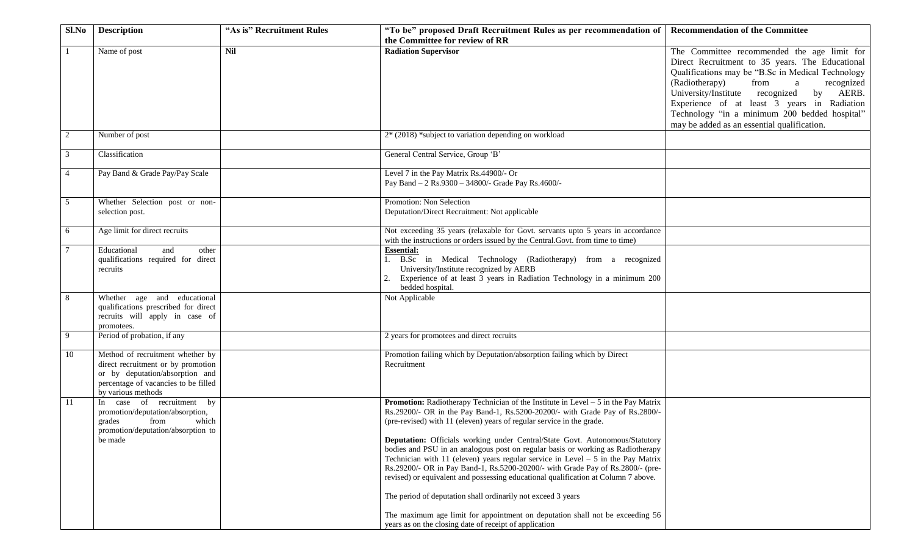| Sl.No          | <b>Description</b>                                                                                                                                                      | "As is" Recruitment Rules | "To be" proposed Draft Recruitment Rules as per recommendation of<br>the Committee for review of RR                                                                                                                                                                                                                                                                                                                                                                                                                                                                                                                                                                                                                                                                                                                                                                                            | <b>Recommendation of the Committee</b>                                                                                                                                                                                                                                                                                                                                                            |
|----------------|-------------------------------------------------------------------------------------------------------------------------------------------------------------------------|---------------------------|------------------------------------------------------------------------------------------------------------------------------------------------------------------------------------------------------------------------------------------------------------------------------------------------------------------------------------------------------------------------------------------------------------------------------------------------------------------------------------------------------------------------------------------------------------------------------------------------------------------------------------------------------------------------------------------------------------------------------------------------------------------------------------------------------------------------------------------------------------------------------------------------|---------------------------------------------------------------------------------------------------------------------------------------------------------------------------------------------------------------------------------------------------------------------------------------------------------------------------------------------------------------------------------------------------|
|                | Name of post                                                                                                                                                            | Nil                       | <b>Radiation Supervisor</b>                                                                                                                                                                                                                                                                                                                                                                                                                                                                                                                                                                                                                                                                                                                                                                                                                                                                    | The Committee recommended the age limit for<br>Direct Recruitment to 35 years. The Educational<br>Qualifications may be "B.Sc in Medical Technology<br>from<br>(Radiotherapy)<br>a<br>recognized<br>University/Institute recognized<br>AERB.<br>by<br>Experience of at least 3 years in Radiation<br>Technology "in a minimum 200 bedded hospital"<br>may be added as an essential qualification. |
| $\overline{c}$ | Number of post                                                                                                                                                          |                           | 2* (2018) *subject to variation depending on workload                                                                                                                                                                                                                                                                                                                                                                                                                                                                                                                                                                                                                                                                                                                                                                                                                                          |                                                                                                                                                                                                                                                                                                                                                                                                   |
| 3              | Classification                                                                                                                                                          |                           | General Central Service, Group 'B'                                                                                                                                                                                                                                                                                                                                                                                                                                                                                                                                                                                                                                                                                                                                                                                                                                                             |                                                                                                                                                                                                                                                                                                                                                                                                   |
| $\overline{4}$ | Pay Band & Grade Pay/Pay Scale                                                                                                                                          |                           | Level 7 in the Pay Matrix Rs.44900/- Or<br>Pay Band - 2 Rs.9300 - 34800/- Grade Pay Rs.4600/-                                                                                                                                                                                                                                                                                                                                                                                                                                                                                                                                                                                                                                                                                                                                                                                                  |                                                                                                                                                                                                                                                                                                                                                                                                   |
| 5              | Whether Selection post or non-<br>selection post.                                                                                                                       |                           | Promotion: Non Selection<br>Deputation/Direct Recruitment: Not applicable                                                                                                                                                                                                                                                                                                                                                                                                                                                                                                                                                                                                                                                                                                                                                                                                                      |                                                                                                                                                                                                                                                                                                                                                                                                   |
| 6              | Age limit for direct recruits                                                                                                                                           |                           | Not exceeding 35 years (relaxable for Govt. servants upto 5 years in accordance<br>with the instructions or orders issued by the Central.Govt. from time to time)                                                                                                                                                                                                                                                                                                                                                                                                                                                                                                                                                                                                                                                                                                                              |                                                                                                                                                                                                                                                                                                                                                                                                   |
| 7              | Educational<br>other<br>and<br>qualifications required for direct<br>recruits                                                                                           |                           | <b>Essential:</b><br>1. B.Sc in Medical Technology (Radiotherapy) from a recognized<br>University/Institute recognized by AERB<br>Experience of at least 3 years in Radiation Technology in a minimum 200<br>bedded hospital.                                                                                                                                                                                                                                                                                                                                                                                                                                                                                                                                                                                                                                                                  |                                                                                                                                                                                                                                                                                                                                                                                                   |
| 8              | Whether age and educational<br>qualifications prescribed for direct<br>recruits will apply in case of<br>promotees.                                                     |                           | Not Applicable                                                                                                                                                                                                                                                                                                                                                                                                                                                                                                                                                                                                                                                                                                                                                                                                                                                                                 |                                                                                                                                                                                                                                                                                                                                                                                                   |
| 9              | Period of probation, if any                                                                                                                                             |                           | 2 years for promotees and direct recruits                                                                                                                                                                                                                                                                                                                                                                                                                                                                                                                                                                                                                                                                                                                                                                                                                                                      |                                                                                                                                                                                                                                                                                                                                                                                                   |
| 10             | Method of recruitment whether by<br>direct recruitment or by promotion<br>or by deputation/absorption and<br>percentage of vacancies to be filled<br>by various methods |                           | Promotion failing which by Deputation/absorption failing which by Direct<br>Recruitment                                                                                                                                                                                                                                                                                                                                                                                                                                                                                                                                                                                                                                                                                                                                                                                                        |                                                                                                                                                                                                                                                                                                                                                                                                   |
| 11             | In case of recruitment by<br>promotion/deputation/absorption,<br>from<br>which<br>grades<br>promotion/deputation/absorption to<br>be made                               |                           | <b>Promotion:</b> Radiotherapy Technician of the Institute in Level $-5$ in the Pay Matrix<br>Rs.29200/- OR in the Pay Band-1, Rs.5200-20200/- with Grade Pay of Rs.2800/-<br>(pre-revised) with 11 (eleven) years of regular service in the grade.<br>Deputation: Officials working under Central/State Govt. Autonomous/Statutory<br>bodies and PSU in an analogous post on regular basis or working as Radiotherapy<br>Technician with 11 (eleven) years regular service in Level $-5$ in the Pay Matrix<br>Rs.29200/- OR in Pay Band-1, Rs.5200-20200/- with Grade Pay of Rs.2800/- (pre-<br>revised) or equivalent and possessing educational qualification at Column 7 above.<br>The period of deputation shall ordinarily not exceed 3 years<br>The maximum age limit for appointment on deputation shall not be exceeding 56<br>years as on the closing date of receipt of application |                                                                                                                                                                                                                                                                                                                                                                                                   |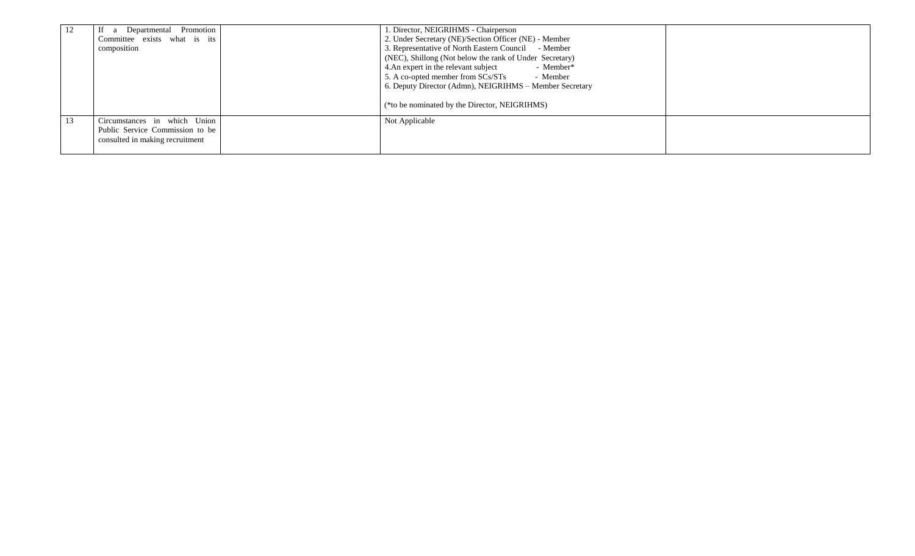| 12 | If a Departmental Promotion     | . Director, NEIGRIHMS - Chairperson                     |  |
|----|---------------------------------|---------------------------------------------------------|--|
|    | Committee exists what is its    | 2. Under Secretary (NE)/Section Officer (NE) - Member   |  |
|    | composition                     | 3. Representative of North Eastern Council - Member     |  |
|    |                                 | (NEC), Shillong (Not below the rank of Under Secretary) |  |
|    |                                 | 4. An expert in the relevant subject<br>- Member*       |  |
|    |                                 | 5. A co-opted member from SCs/STs<br>- Member           |  |
|    |                                 | 6. Deputy Director (Admn), NEIGRIHMS - Member Secretary |  |
|    |                                 | (*to be nominated by the Director, NEIGRIHMS)           |  |
| 13 | Circumstances in which Union    | Not Applicable                                          |  |
|    | Public Service Commission to be |                                                         |  |
|    | consulted in making recruitment |                                                         |  |
|    |                                 |                                                         |  |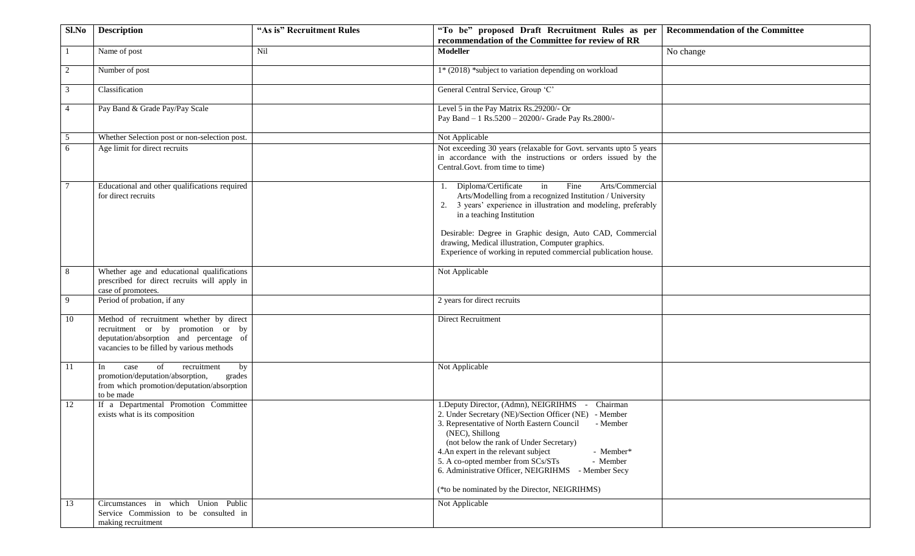| Sl.No          | <b>Description</b>                                                                                                                                                   | "As is" Recruitment Rules | "To be" proposed Draft Recruitment Rules as per                                                                                                                                                                                                                                                                                                                                                                                                   | <b>Recommendation of the Committee</b> |
|----------------|----------------------------------------------------------------------------------------------------------------------------------------------------------------------|---------------------------|---------------------------------------------------------------------------------------------------------------------------------------------------------------------------------------------------------------------------------------------------------------------------------------------------------------------------------------------------------------------------------------------------------------------------------------------------|----------------------------------------|
|                |                                                                                                                                                                      |                           | recommendation of the Committee for review of RR                                                                                                                                                                                                                                                                                                                                                                                                  |                                        |
|                | Name of post                                                                                                                                                         | Nil                       | <b>Modeller</b>                                                                                                                                                                                                                                                                                                                                                                                                                                   | No change                              |
| $\overline{2}$ | Number of post                                                                                                                                                       |                           | 1* (2018) *subject to variation depending on workload                                                                                                                                                                                                                                                                                                                                                                                             |                                        |
| 3              | Classification                                                                                                                                                       |                           | General Central Service, Group 'C'                                                                                                                                                                                                                                                                                                                                                                                                                |                                        |
| $\overline{4}$ | Pay Band & Grade Pay/Pay Scale                                                                                                                                       |                           | Level 5 in the Pay Matrix Rs.29200/- Or<br>Pay Band - 1 Rs.5200 - 20200/- Grade Pay Rs.2800/-                                                                                                                                                                                                                                                                                                                                                     |                                        |
| 5              | Whether Selection post or non-selection post.                                                                                                                        |                           | Not Applicable                                                                                                                                                                                                                                                                                                                                                                                                                                    |                                        |
| 6              | Age limit for direct recruits                                                                                                                                        |                           | Not exceeding 30 years (relaxable for Govt. servants upto 5 years<br>in accordance with the instructions or orders issued by the<br>Central.Govt. from time to time)                                                                                                                                                                                                                                                                              |                                        |
|                | Educational and other qualifications required<br>for direct recruits                                                                                                 |                           | Diploma/Certificate<br>Fine<br>Arts/Commercial<br>in<br>Arts/Modelling from a recognized Institution / University<br>2. 3 years' experience in illustration and modeling, preferably<br>in a teaching Institution<br>Desirable: Degree in Graphic design, Auto CAD, Commercial<br>drawing, Medical illustration, Computer graphics.<br>Experience of working in reputed commercial publication house.                                             |                                        |
| 8              | Whether age and educational qualifications<br>prescribed for direct recruits will apply in<br>case of promotees.                                                     |                           | Not Applicable                                                                                                                                                                                                                                                                                                                                                                                                                                    |                                        |
| 9              | Period of probation, if any                                                                                                                                          |                           | 2 years for direct recruits                                                                                                                                                                                                                                                                                                                                                                                                                       |                                        |
| 10             | Method of recruitment whether by direct<br>recruitment or by promotion or by<br>deputation/absorption and percentage of<br>vacancies to be filled by various methods |                           | Direct Recruitment                                                                                                                                                                                                                                                                                                                                                                                                                                |                                        |
| 11             | of<br>recruitment<br>by<br>In<br>case<br>promotion/deputation/absorption,<br>grades<br>from which promotion/deputation/absorption<br>to be made                      |                           | Not Applicable                                                                                                                                                                                                                                                                                                                                                                                                                                    |                                        |
| 12             | If a Departmental Promotion Committee<br>exists what is its composition                                                                                              |                           | 1. Deputy Director, (Admn), NEIGRIHMS -<br>Chairman<br>2. Under Secretary (NE)/Section Officer (NE) - Member<br>3. Representative of North Eastern Council<br>- Member<br>(NEC), Shillong<br>(not below the rank of Under Secretary)<br>4. An expert in the relevant subject<br>- Member*<br>5. A co-opted member from SCs/STs<br>- Member<br>6. Administrative Officer, NEIGRIHMS - Member Secy<br>(*to be nominated by the Director, NEIGRIHMS) |                                        |
| 13             | Circumstances in which Union Public<br>Service Commission to be consulted in<br>making recruitment                                                                   |                           | Not Applicable                                                                                                                                                                                                                                                                                                                                                                                                                                    |                                        |